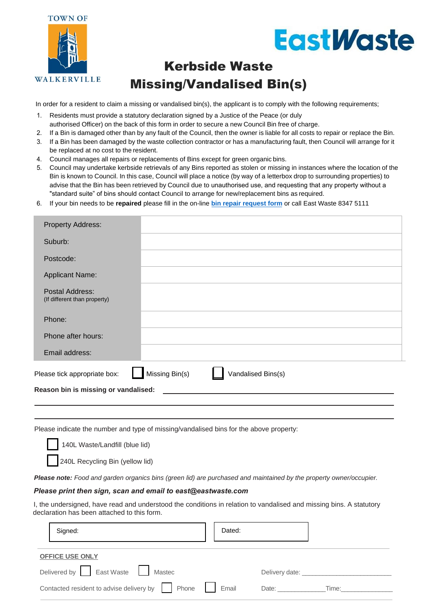

# **EastWaste**

## Kerbside Waste Missing/Vandalised Bin(s)

In order for a resident to claim a missing or vandalised bin(s), the applicant is to comply with the following requirements;

- 1. Residents must provide a statutory declaration signed by a Justice of the Peace (or duly authorised Officer) on the back of this form in order to secure a new Council Bin free of charge.
- 2. If a Bin is damaged other than by any fault of the Council, then the owner is liable for all costs to repair or replace the Bin.
- 3. If a Bin has been damaged by the waste collection contractor or has a manufacturing fault, then Council will arrange for it be replaced at no cost to the resident.
- 4. Council manages all repairs or replacements of Bins except for green organic bins.
- 5. Council may undertake kerbside retrievals of any Bins reported as stolen or missing in instances where the location of the Bin is known to Council. In this case, Council will place a notice (by way of a letterbox drop to surrounding properties) to advise that the Bin has been retrieved by Council due to unauthorised use, and requesting that any property without a "standard suite" of bins should contact Council to arrange for new/replacement bins as required.
- 6. If your bin needs to be **repaired** please fill in the on-line **[bin repair request form](https://www.eastwaste.com.au/our-services/bin-repair-request/)** or call East Waste 8347 5111

| <b>Property Address:</b>                        |                |                    |  |  |
|-------------------------------------------------|----------------|--------------------|--|--|
| Suburb:                                         |                |                    |  |  |
| Postcode:                                       |                |                    |  |  |
| <b>Applicant Name:</b>                          |                |                    |  |  |
| Postal Address:<br>(If different than property) |                |                    |  |  |
| Phone:                                          |                |                    |  |  |
| Phone after hours:                              |                |                    |  |  |
| Email address:                                  |                |                    |  |  |
| Please tick appropriate box:                    | Missing Bin(s) | Vandalised Bins(s) |  |  |
| Reason bin is missing or vandalised:            |                |                    |  |  |

Please indicate the number and type of missing/vandalised bins for the above property:

140L Waste/Landfill (blue lid)

240L Recycling Bin (yellow lid)

*Please note: Food and garden organics bins (green lid) are purchased and maintained by the property owner/occupier.*

#### *Please print then sign, scan and email to [east@eastwaste.com](mailto: east@eastwaste.com)*

I, the undersigned, have read and understood the conditions in relation to vandalised and missing bins. A statutory declaration has been attached to this form.

| Signed:                                            | Dated: |                               |       |
|----------------------------------------------------|--------|-------------------------------|-------|
| <b>OFFICE USE ONLY</b>                             |        |                               |       |
| Delivered by East Waste Hastec                     |        | Delivery date: ______________ |       |
| Contacted resident to advise delivery by     Phone | Email  | Date: _____________           | Time: |